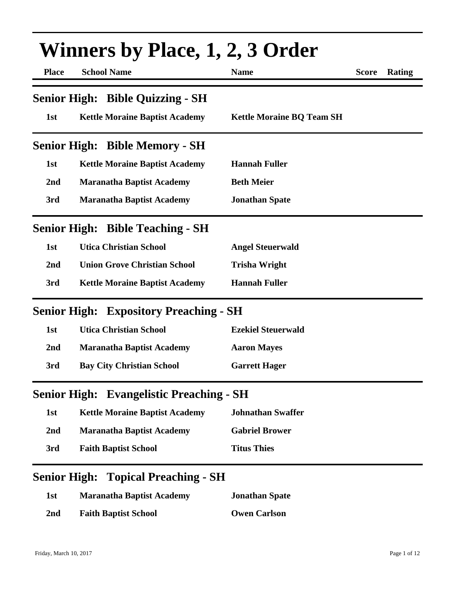| <b>Winners by Place, 1, 2, 3 Order</b> |                                                 |                                  |              |        |
|----------------------------------------|-------------------------------------------------|----------------------------------|--------------|--------|
| <b>Place</b>                           | <b>School Name</b>                              | <b>Name</b>                      | <b>Score</b> | Rating |
|                                        | <b>Senior High: Bible Quizzing - SH</b>         |                                  |              |        |
| 1st                                    | <b>Kettle Moraine Baptist Academy</b>           | <b>Kettle Moraine BQ Team SH</b> |              |        |
|                                        | <b>Senior High: Bible Memory - SH</b>           |                                  |              |        |
| 1st                                    | <b>Kettle Moraine Baptist Academy</b>           | <b>Hannah Fuller</b>             |              |        |
| 2 <sub>nd</sub>                        | <b>Maranatha Baptist Academy</b>                | <b>Beth Meier</b>                |              |        |
| 3rd                                    | <b>Maranatha Baptist Academy</b>                | <b>Jonathan Spate</b>            |              |        |
|                                        | <b>Senior High: Bible Teaching - SH</b>         |                                  |              |        |
| 1st                                    | <b>Utica Christian School</b>                   | <b>Angel Steuerwald</b>          |              |        |
| 2nd                                    | <b>Union Grove Christian School</b>             | <b>Trisha Wright</b>             |              |        |
| 3rd                                    | <b>Kettle Moraine Baptist Academy</b>           | <b>Hannah Fuller</b>             |              |        |
|                                        | <b>Senior High: Expository Preaching - SH</b>   |                                  |              |        |
| 1st                                    | <b>Utica Christian School</b>                   | <b>Ezekiel Steuerwald</b>        |              |        |
| 2nd                                    | <b>Maranatha Baptist Academy</b>                | <b>Aaron Mayes</b>               |              |        |
| 3rd                                    | <b>Bay City Christian School</b>                | <b>Garrett Hager</b>             |              |        |
|                                        | <b>Senior High: Evangelistic Preaching - SH</b> |                                  |              |        |
| 1st                                    | <b>Kettle Moraine Baptist Academy</b>           | <b>Johnathan Swaffer</b>         |              |        |
| 2nd                                    | <b>Maranatha Baptist Academy</b>                | <b>Gabriel Brower</b>            |              |        |
| 3rd                                    | <b>Faith Baptist School</b>                     | <b>Titus Thies</b>               |              |        |
|                                        | <b>Senior High: Topical Preaching - SH</b>      |                                  |              |        |
| 1st                                    | <b>Maranatha Baptist Academy</b>                | <b>Jonathan Spate</b>            |              |        |
| 2nd                                    | <b>Faith Baptist School</b>                     | <b>Owen Carlson</b>              |              |        |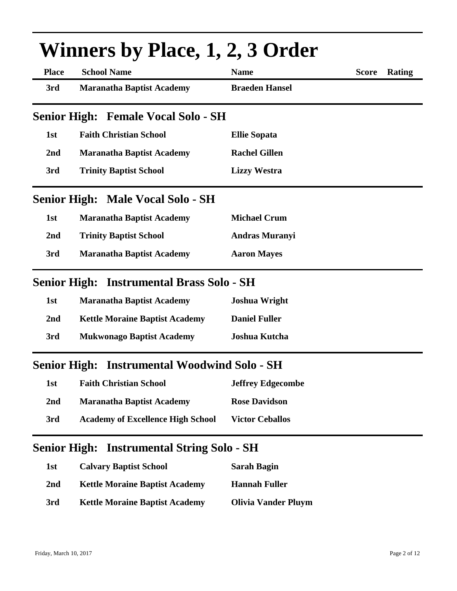| <b>Winners by Place, 1, 2, 3 Order</b> |                                            |                          |              |        |
|----------------------------------------|--------------------------------------------|--------------------------|--------------|--------|
| <b>Place</b>                           | <b>School Name</b>                         | <b>Name</b>              | <b>Score</b> | Rating |
| 3rd                                    | <b>Maranatha Baptist Academy</b>           | <b>Braeden Hansel</b>    |              |        |
|                                        | <b>Senior High: Female Vocal Solo - SH</b> |                          |              |        |
| 1st                                    | <b>Faith Christian School</b>              | <b>Ellie Sopata</b>      |              |        |
| 2nd                                    | <b>Maranatha Baptist Academy</b>           | <b>Rachel Gillen</b>     |              |        |
| 3rd                                    | <b>Trinity Baptist School</b>              | <b>Lizzy Westra</b>      |              |        |
|                                        | <b>Senior High: Male Vocal Solo - SH</b>   |                          |              |        |
| 1st                                    | <b>Maranatha Baptist Academy</b>           | <b>Michael Crum</b>      |              |        |
| 2nd                                    | <b>Trinity Baptist School</b>              | <b>Andras Muranyi</b>    |              |        |
| 3rd                                    | <b>Maranatha Baptist Academy</b>           | <b>Aaron Mayes</b>       |              |        |
| <b>Senior High:</b>                    | <b>Instrumental Brass Solo - SH</b>        |                          |              |        |
| 1st                                    | <b>Maranatha Baptist Academy</b>           | <b>Joshua Wright</b>     |              |        |
| 2nd                                    | <b>Kettle Moraine Baptist Academy</b>      | <b>Daniel Fuller</b>     |              |        |
| 3rd                                    | <b>Mukwonago Baptist Academy</b>           | Joshua Kutcha            |              |        |
| <b>Senior High:</b>                    | <b>Instrumental Woodwind Solo - SH</b>     |                          |              |        |
| 1st                                    | <b>Faith Christian School</b>              | <b>Jeffrey Edgecombe</b> |              |        |
| 2nd                                    | <b>Maranatha Baptist Academy</b>           | <b>Rose Davidson</b>     |              |        |
| 3rd                                    | <b>Academy of Excellence High School</b>   | <b>Victor Ceballos</b>   |              |        |

## **Senior High: Instrumental String Solo - SH**

| 1st | <b>Calvary Baptist School</b>         | <b>Sarah Bagin</b>         |
|-----|---------------------------------------|----------------------------|
| 2nd | <b>Kettle Moraine Baptist Academy</b> | Hannah Fuller              |
| 3rd | <b>Kettle Moraine Baptist Academy</b> | <b>Olivia Vander Pluym</b> |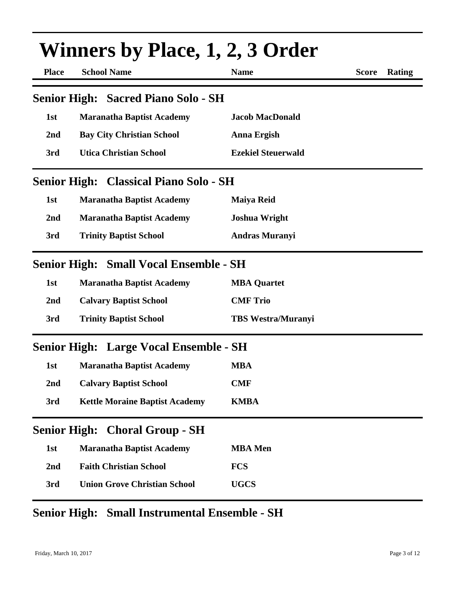|                 | Winners by Place, 1, 2, 3 Order               |                           |              |               |
|-----------------|-----------------------------------------------|---------------------------|--------------|---------------|
| <b>Place</b>    | <b>School Name</b>                            | <b>Name</b>               | <b>Score</b> | <b>Rating</b> |
|                 | <b>Senior High: Sacred Piano Solo - SH</b>    |                           |              |               |
| 1st             | <b>Maranatha Baptist Academy</b>              | <b>Jacob MacDonald</b>    |              |               |
| 2nd             | <b>Bay City Christian School</b>              | Anna Ergish               |              |               |
| 3rd             | <b>Utica Christian School</b>                 | <b>Ezekiel Steuerwald</b> |              |               |
|                 | <b>Senior High: Classical Piano Solo - SH</b> |                           |              |               |
| 1st             | <b>Maranatha Baptist Academy</b>              | <b>Maiya Reid</b>         |              |               |
| 2nd             | <b>Maranatha Baptist Academy</b>              | <b>Joshua Wright</b>      |              |               |
| 3rd             | <b>Trinity Baptist School</b>                 | <b>Andras Muranyi</b>     |              |               |
|                 | <b>Senior High: Small Vocal Ensemble - SH</b> |                           |              |               |
| 1st             | <b>Maranatha Baptist Academy</b>              | <b>MBA Quartet</b>        |              |               |
| 2nd             | <b>Calvary Baptist School</b>                 | <b>CMF Trio</b>           |              |               |
| 3rd             | <b>Trinity Baptist School</b>                 | <b>TBS Westra/Muranyi</b> |              |               |
|                 | <b>Senior High: Large Vocal Ensemble - SH</b> |                           |              |               |
| 1st             | <b>Maranatha Baptist Academy</b>              | <b>MBA</b>                |              |               |
| 2 <sub>nd</sub> | <b>Calvary Baptist School</b>                 | <b>CMF</b>                |              |               |
| 3rd             | <b>Kettle Moraine Baptist Academy</b>         | <b>KMBA</b>               |              |               |
|                 | <b>Senior High: Choral Group - SH</b>         |                           |              |               |
| 1st             | <b>Maranatha Baptist Academy</b>              | <b>MBA</b> Men            |              |               |
| 2nd             | <b>Faith Christian School</b>                 | <b>FCS</b>                |              |               |
| 3rd             | <b>Union Grove Christian School</b>           | <b>UGCS</b>               |              |               |

### **Senior High: Small Instrumental Ensemble - SH**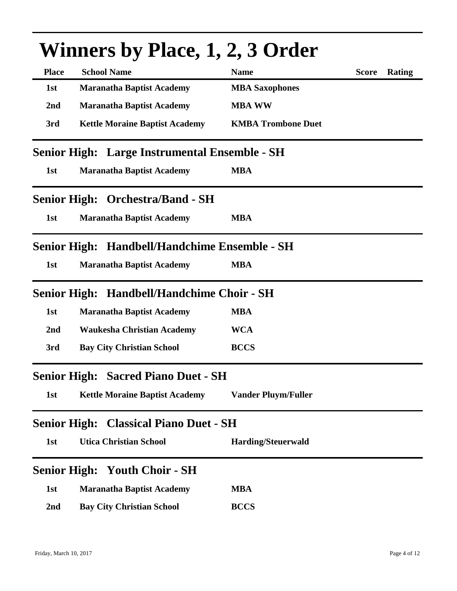|                     | <b>Winners by Place, 1, 2, 3 Order</b>        |                            |              |        |
|---------------------|-----------------------------------------------|----------------------------|--------------|--------|
| <b>Place</b>        | <b>School Name</b>                            | <b>Name</b>                | <b>Score</b> | Rating |
| 1st                 | <b>Maranatha Baptist Academy</b>              | <b>MBA Saxophones</b>      |              |        |
| 2nd                 | <b>Maranatha Baptist Academy</b>              | <b>MBA WW</b>              |              |        |
| 3rd                 | <b>Kettle Moraine Baptist Academy</b>         | <b>KMBA Trombone Duet</b>  |              |        |
|                     | Senior High: Large Instrumental Ensemble - SH |                            |              |        |
| 1st                 | <b>Maranatha Baptist Academy</b>              | <b>MBA</b>                 |              |        |
|                     | <b>Senior High: Orchestra/Band - SH</b>       |                            |              |        |
| 1st                 | <b>Maranatha Baptist Academy</b>              | <b>MBA</b>                 |              |        |
|                     | Senior High: Handbell/Handchime Ensemble - SH |                            |              |        |
| 1st                 | <b>Maranatha Baptist Academy</b>              | <b>MBA</b>                 |              |        |
| <b>Senior High:</b> | <b>Handbell/Handchime Choir - SH</b>          |                            |              |        |
| 1st                 | <b>Maranatha Baptist Academy</b>              | <b>MBA</b>                 |              |        |
| 2nd                 | <b>Waukesha Christian Academy</b>             | <b>WCA</b>                 |              |        |
| 3rd                 | <b>Bay City Christian School</b>              | <b>BCCS</b>                |              |        |
|                     | <b>Senior High: Sacred Piano Duet - SH</b>    |                            |              |        |
| 1st                 | <b>Kettle Moraine Baptist Academy</b>         | <b>Vander Pluym/Fuller</b> |              |        |
| <b>Senior High:</b> | <b>Classical Piano Duet - SH</b>              |                            |              |        |
| 1st                 | <b>Utica Christian School</b>                 | <b>Harding/Steuerwald</b>  |              |        |
|                     | <b>Senior High: Youth Choir - SH</b>          |                            |              |        |
| 1st                 | <b>Maranatha Baptist Academy</b>              | <b>MBA</b>                 |              |        |
| 2nd                 | <b>Bay City Christian School</b>              | <b>BCCS</b>                |              |        |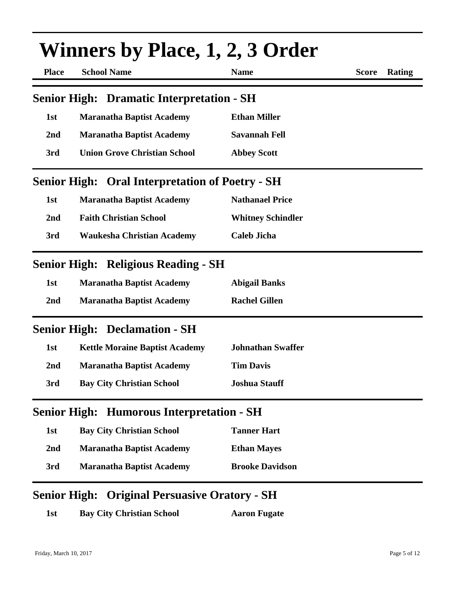|                 | <b>Winners by Place, 1, 2, 3 Order</b>                 |                          |              |               |
|-----------------|--------------------------------------------------------|--------------------------|--------------|---------------|
| <b>Place</b>    | <b>School Name</b>                                     | <b>Name</b>              | <b>Score</b> | <b>Rating</b> |
|                 | <b>Senior High: Dramatic Interpretation - SH</b>       |                          |              |               |
| 1st             | <b>Maranatha Baptist Academy</b>                       | <b>Ethan Miller</b>      |              |               |
| 2nd             | <b>Maranatha Baptist Academy</b>                       | <b>Savannah Fell</b>     |              |               |
| 3rd             | <b>Union Grove Christian School</b>                    | <b>Abbey Scott</b>       |              |               |
|                 | <b>Senior High: Oral Interpretation of Poetry - SH</b> |                          |              |               |
| 1st             | <b>Maranatha Baptist Academy</b>                       | <b>Nathanael Price</b>   |              |               |
| 2nd             | <b>Faith Christian School</b>                          | <b>Whitney Schindler</b> |              |               |
| 3rd             | <b>Waukesha Christian Academy</b>                      | <b>Caleb Jicha</b>       |              |               |
|                 | <b>Senior High: Religious Reading - SH</b>             |                          |              |               |
| 1st             | <b>Maranatha Baptist Academy</b>                       | <b>Abigail Banks</b>     |              |               |
| 2nd             | <b>Maranatha Baptist Academy</b>                       | <b>Rachel Gillen</b>     |              |               |
|                 | <b>Senior High: Declamation - SH</b>                   |                          |              |               |
| 1st             | <b>Kettle Moraine Baptist Academy</b>                  | <b>Johnathan Swaffer</b> |              |               |
| 2 <sub>nd</sub> | <b>Maranatha Baptist Academy</b>                       | <b>Tim Davis</b>         |              |               |
| 3rd             | <b>Bay City Christian School</b>                       | <b>Joshua Stauff</b>     |              |               |
|                 | <b>Senior High: Humorous Interpretation - SH</b>       |                          |              |               |
| 1st             | <b>Bay City Christian School</b>                       | <b>Tanner Hart</b>       |              |               |
| 2nd             | <b>Maranatha Baptist Academy</b>                       | <b>Ethan Mayes</b>       |              |               |
| 3rd             | <b>Maranatha Baptist Academy</b>                       | <b>Brooke Davidson</b>   |              |               |

#### **Senior High: Original Persuasive Oratory - SH**

1st **Bay City Christian School Aaron Fugate**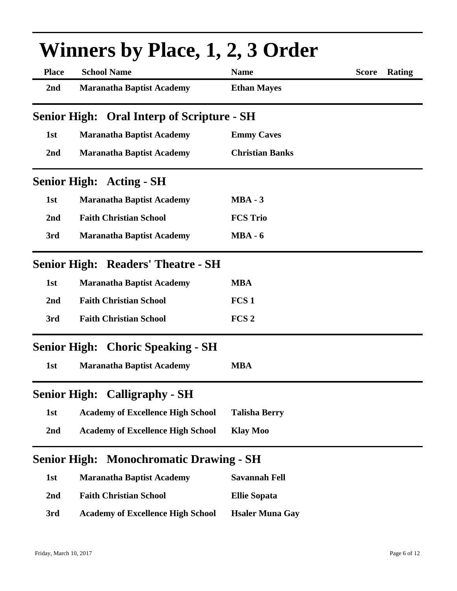|                     | <b>Winners by Place, 1, 2, 3 Order</b>            |                        |                        |  |  |
|---------------------|---------------------------------------------------|------------------------|------------------------|--|--|
| <b>Place</b>        | <b>School Name</b>                                | <b>Name</b>            | <b>Score</b><br>Rating |  |  |
| 2nd                 | <b>Maranatha Baptist Academy</b>                  | <b>Ethan Mayes</b>     |                        |  |  |
|                     | <b>Senior High: Oral Interp of Scripture - SH</b> |                        |                        |  |  |
| 1st                 | <b>Maranatha Baptist Academy</b>                  | <b>Emmy Caves</b>      |                        |  |  |
| 2nd                 | <b>Maranatha Baptist Academy</b>                  | <b>Christian Banks</b> |                        |  |  |
|                     | <b>Senior High: Acting - SH</b>                   |                        |                        |  |  |
| 1st                 | <b>Maranatha Baptist Academy</b>                  | $MBA - 3$              |                        |  |  |
| 2nd                 | <b>Faith Christian School</b>                     | <b>FCS Trio</b>        |                        |  |  |
| 3rd                 | <b>Maranatha Baptist Academy</b>                  | $MBA - 6$              |                        |  |  |
|                     | <b>Senior High: Readers' Theatre - SH</b>         |                        |                        |  |  |
| 1st                 | <b>Maranatha Baptist Academy</b>                  | <b>MBA</b>             |                        |  |  |
| 2nd                 | <b>Faith Christian School</b>                     | FCS <sub>1</sub>       |                        |  |  |
| 3rd                 | <b>Faith Christian School</b>                     | FCS <sub>2</sub>       |                        |  |  |
|                     | <b>Senior High: Choric Speaking - SH</b>          |                        |                        |  |  |
| 1st                 | <b>Maranatha Baptist Academy</b>                  | <b>MBA</b>             |                        |  |  |
|                     | <b>Senior High: Calligraphy - SH</b>              |                        |                        |  |  |
| 1st                 | <b>Academy of Excellence High School</b>          | <b>Talisha Berry</b>   |                        |  |  |
| 2nd                 | <b>Academy of Excellence High School</b>          | <b>Klay Moo</b>        |                        |  |  |
| <b>Senior High:</b> | <b>Monochromatic Drawing - SH</b>                 |                        |                        |  |  |
| 1st                 | <b>Maranatha Baptist Academy</b>                  | <b>Savannah Fell</b>   |                        |  |  |
| 2 <sub>nd</sub>     | <b>Faith Christian School</b>                     | <b>Ellie Sopata</b>    |                        |  |  |
| 3rd                 | <b>Academy of Excellence High School</b>          | <b>Hsaler Muna Gay</b> |                        |  |  |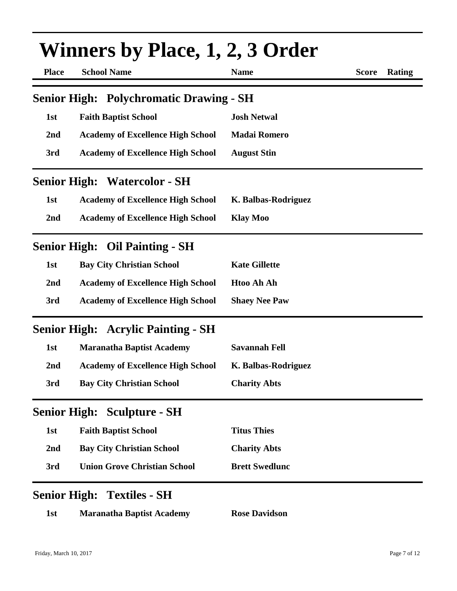|              | <b>Winners by Place, 1, 2, 3 Order</b>         |                       |              |        |  |
|--------------|------------------------------------------------|-----------------------|--------------|--------|--|
| <b>Place</b> | <b>School Name</b>                             | <b>Name</b>           | <b>Score</b> | Rating |  |
|              | <b>Senior High: Polychromatic Drawing - SH</b> |                       |              |        |  |
| 1st          | <b>Faith Baptist School</b>                    | <b>Josh Netwal</b>    |              |        |  |
| 2nd          | <b>Academy of Excellence High School</b>       | <b>Madai Romero</b>   |              |        |  |
| 3rd          | <b>Academy of Excellence High School</b>       | <b>August Stin</b>    |              |        |  |
|              | <b>Senior High: Watercolor - SH</b>            |                       |              |        |  |
| 1st          | <b>Academy of Excellence High School</b>       | K. Balbas-Rodriguez   |              |        |  |
| 2nd          | <b>Academy of Excellence High School</b>       | <b>Klay Moo</b>       |              |        |  |
|              | <b>Senior High: Oil Painting - SH</b>          |                       |              |        |  |
| 1st          | <b>Bay City Christian School</b>               | <b>Kate Gillette</b>  |              |        |  |
| 2nd          | <b>Academy of Excellence High School</b>       | <b>Htoo Ah Ah</b>     |              |        |  |
| 3rd          | <b>Academy of Excellence High School</b>       | <b>Shaey Nee Paw</b>  |              |        |  |
|              | <b>Senior High: Acrylic Painting - SH</b>      |                       |              |        |  |
| 1st          | <b>Maranatha Baptist Academy</b>               | <b>Savannah Fell</b>  |              |        |  |
| 2nd          | <b>Academy of Excellence High School</b>       | K. Balbas-Rodriguez   |              |        |  |
| 3rd          | <b>Bay City Christian School</b>               | <b>Charity Abts</b>   |              |        |  |
|              | <b>Senior High: Sculpture - SH</b>             |                       |              |        |  |
| 1st          | <b>Faith Baptist School</b>                    | <b>Titus Thies</b>    |              |        |  |
| 2nd          | <b>Bay City Christian School</b>               | <b>Charity Abts</b>   |              |        |  |
| 3rd          | <b>Union Grove Christian School</b>            | <b>Brett Swedlunc</b> |              |        |  |
|              | <b>Senior High: Textiles - SH</b>              |                       |              |        |  |
| 1st          | <b>Maranatha Baptist Academy</b>               | <b>Rose Davidson</b>  |              |        |  |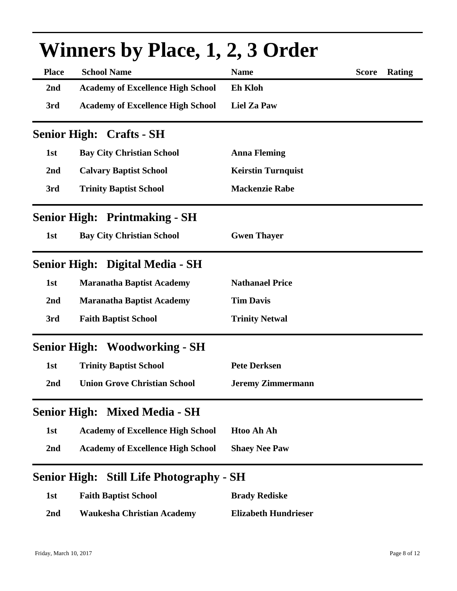|                     | <b>Winners by Place, 1, 2, 3 Order</b>          |                             |              |        |  |
|---------------------|-------------------------------------------------|-----------------------------|--------------|--------|--|
| <b>Place</b>        | <b>School Name</b>                              | <b>Name</b>                 | <b>Score</b> | Rating |  |
| 2nd                 | <b>Academy of Excellence High School</b>        | Eh Kloh                     |              |        |  |
| 3rd                 | <b>Academy of Excellence High School</b>        | <b>Liel Za Paw</b>          |              |        |  |
|                     | <b>Senior High: Crafts - SH</b>                 |                             |              |        |  |
| 1st                 | <b>Bay City Christian School</b>                | <b>Anna Fleming</b>         |              |        |  |
| 2nd                 | <b>Calvary Baptist School</b>                   | <b>Keirstin Turnquist</b>   |              |        |  |
| 3rd                 | <b>Trinity Baptist School</b>                   | <b>Mackenzie Rabe</b>       |              |        |  |
|                     | <b>Senior High: Printmaking - SH</b>            |                             |              |        |  |
| 1st                 | <b>Bay City Christian School</b>                | <b>Gwen Thayer</b>          |              |        |  |
|                     | Senior High: Digital Media - SH                 |                             |              |        |  |
| 1st                 | <b>Maranatha Baptist Academy</b>                | <b>Nathanael Price</b>      |              |        |  |
| 2nd                 | <b>Maranatha Baptist Academy</b>                | <b>Tim Davis</b>            |              |        |  |
| 3rd                 | <b>Faith Baptist School</b>                     | <b>Trinity Netwal</b>       |              |        |  |
|                     | <b>Senior High: Woodworking - SH</b>            |                             |              |        |  |
| 1st                 | <b>Trinity Baptist School</b>                   | <b>Pete Derksen</b>         |              |        |  |
| 2nd                 | <b>Union Grove Christian School</b>             | <b>Jeremy Zimmermann</b>    |              |        |  |
| <b>Senior High:</b> | <b>Mixed Media - SH</b>                         |                             |              |        |  |
| 1st                 | <b>Academy of Excellence High School</b>        | <b>Htoo Ah Ah</b>           |              |        |  |
| 2nd                 | <b>Academy of Excellence High School</b>        | <b>Shaey Nee Paw</b>        |              |        |  |
|                     | <b>Senior High: Still Life Photography - SH</b> |                             |              |        |  |
| 1st                 | <b>Faith Baptist School</b>                     | <b>Brady Rediske</b>        |              |        |  |
| 2nd                 | <b>Waukesha Christian Academy</b>               | <b>Elizabeth Hundrieser</b> |              |        |  |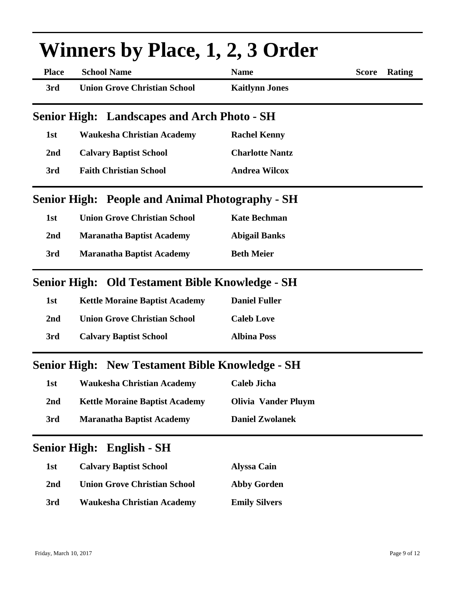|                     | <b>Winners by Place, 1, 2, 3 Order</b>                 |                            |              |        |
|---------------------|--------------------------------------------------------|----------------------------|--------------|--------|
| <b>Place</b>        | <b>School Name</b>                                     | <b>Name</b>                | <b>Score</b> | Rating |
| 3rd                 | <b>Union Grove Christian School</b>                    | <b>Kaitlynn Jones</b>      |              |        |
|                     | <b>Senior High: Landscapes and Arch Photo - SH</b>     |                            |              |        |
| 1st                 | <b>Waukesha Christian Academy</b>                      | <b>Rachel Kenny</b>        |              |        |
| 2nd                 | <b>Calvary Baptist School</b>                          | <b>Charlotte Nantz</b>     |              |        |
| 3rd                 | <b>Faith Christian School</b>                          | <b>Andrea Wilcox</b>       |              |        |
|                     | <b>Senior High: People and Animal Photography - SH</b> |                            |              |        |
| 1st                 | <b>Union Grove Christian School</b>                    | <b>Kate Bechman</b>        |              |        |
| 2nd                 | <b>Maranatha Baptist Academy</b>                       | <b>Abigail Banks</b>       |              |        |
| 3rd                 | <b>Maranatha Baptist Academy</b>                       | <b>Beth Meier</b>          |              |        |
|                     | Senior High: Old Testament Bible Knowledge - SH        |                            |              |        |
| 1st                 | <b>Kettle Moraine Baptist Academy</b>                  | <b>Daniel Fuller</b>       |              |        |
| 2nd                 | <b>Union Grove Christian School</b>                    | <b>Caleb Love</b>          |              |        |
| 3rd                 | <b>Calvary Baptist School</b>                          | <b>Albina Poss</b>         |              |        |
|                     | <b>Senior High: New Testament Bible Knowledge - SH</b> |                            |              |        |
| 1st                 | <b>Waukesha Christian Academy</b>                      | <b>Caleb Jicha</b>         |              |        |
| 2nd                 | <b>Kettle Moraine Baptist Academy</b>                  | <b>Olivia Vander Pluym</b> |              |        |
| 3rd                 | <b>Maranatha Baptist Academy</b>                       | <b>Daniel Zwolanek</b>     |              |        |
| <b>Senior High:</b> | English - SH                                           |                            |              |        |
| 1st                 | <b>Calvary Baptist School</b>                          | <b>Alyssa Cain</b>         |              |        |
| 2nd                 | <b>Union Grove Christian School</b>                    | <b>Abby Gorden</b>         |              |        |
| 3rd                 | <b>Waukesha Christian Academy</b>                      | <b>Emily Silvers</b>       |              |        |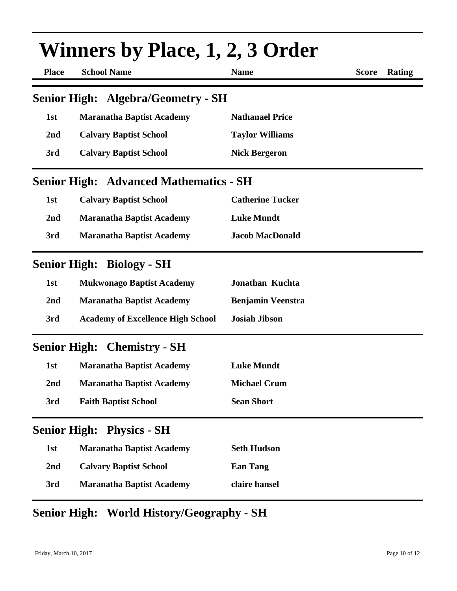|              | Winners by Place, 1, 2, 3 Order               |                          |              |        |
|--------------|-----------------------------------------------|--------------------------|--------------|--------|
| <b>Place</b> | <b>School Name</b>                            | <b>Name</b>              | <b>Score</b> | Rating |
|              | <b>Senior High: Algebra/Geometry - SH</b>     |                          |              |        |
| 1st          | <b>Maranatha Baptist Academy</b>              | <b>Nathanael Price</b>   |              |        |
| 2nd          | <b>Calvary Baptist School</b>                 | <b>Taylor Williams</b>   |              |        |
| 3rd          | <b>Calvary Baptist School</b>                 | <b>Nick Bergeron</b>     |              |        |
|              | <b>Senior High: Advanced Mathematics - SH</b> |                          |              |        |
| 1st          | <b>Calvary Baptist School</b>                 | <b>Catherine Tucker</b>  |              |        |
| 2nd          | <b>Maranatha Baptist Academy</b>              | <b>Luke Mundt</b>        |              |        |
| 3rd          | <b>Maranatha Baptist Academy</b>              | <b>Jacob MacDonald</b>   |              |        |
|              | <b>Senior High: Biology - SH</b>              |                          |              |        |
| 1st          | <b>Mukwonago Baptist Academy</b>              | <b>Jonathan Kuchta</b>   |              |        |
| 2nd          | <b>Maranatha Baptist Academy</b>              | <b>Benjamin Veenstra</b> |              |        |
| 3rd          | <b>Academy of Excellence High School</b>      | <b>Josiah Jibson</b>     |              |        |
|              | <b>Senior High: Chemistry - SH</b>            |                          |              |        |
| 1st          | <b>Maranatha Baptist Academy</b>              | <b>Luke Mundt</b>        |              |        |
| 2nd          | <b>Maranatha Baptist Academy</b>              | <b>Michael Crum</b>      |              |        |
| 3rd          | <b>Faith Baptist School</b>                   | <b>Sean Short</b>        |              |        |
|              | <b>Senior High: Physics - SH</b>              |                          |              |        |
| 1st          | <b>Maranatha Baptist Academy</b>              | <b>Seth Hudson</b>       |              |        |
| 2nd          | <b>Calvary Baptist School</b>                 | <b>Ean Tang</b>          |              |        |
| 3rd          | <b>Maranatha Baptist Academy</b>              | claire hansel            |              |        |

## **Senior High: World History/Geography - SH**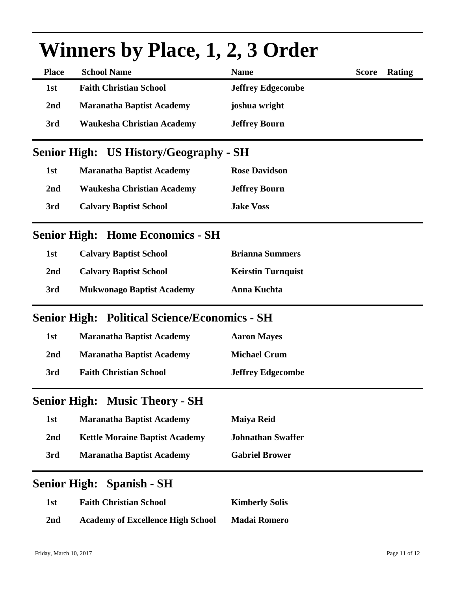|                 | Winners by Place, 1, 2, 3 Order                      |                           |              |        |  |
|-----------------|------------------------------------------------------|---------------------------|--------------|--------|--|
| <b>Place</b>    | <b>School Name</b>                                   | <b>Name</b>               | <b>Score</b> | Rating |  |
| 1st             | <b>Faith Christian School</b>                        | <b>Jeffrey Edgecombe</b>  |              |        |  |
| 2 <sub>nd</sub> | <b>Maranatha Baptist Academy</b>                     | joshua wright             |              |        |  |
| 3rd             | <b>Waukesha Christian Academy</b>                    | <b>Jeffrey Bourn</b>      |              |        |  |
|                 | <b>Senior High: US History/Geography - SH</b>        |                           |              |        |  |
| 1st             | <b>Maranatha Baptist Academy</b>                     | <b>Rose Davidson</b>      |              |        |  |
| 2 <sub>nd</sub> | <b>Waukesha Christian Academy</b>                    | <b>Jeffrey Bourn</b>      |              |        |  |
| 3rd             | <b>Calvary Baptist School</b>                        | <b>Jake Voss</b>          |              |        |  |
|                 | <b>Senior High: Home Economics - SH</b>              |                           |              |        |  |
| 1st             | <b>Calvary Baptist School</b>                        | <b>Brianna Summers</b>    |              |        |  |
| 2 <sub>nd</sub> | <b>Calvary Baptist School</b>                        | <b>Keirstin Turnquist</b> |              |        |  |
| 3rd             | <b>Mukwonago Baptist Academy</b>                     | Anna Kuchta               |              |        |  |
|                 | <b>Senior High: Political Science/Economics - SH</b> |                           |              |        |  |
| 1st             | <b>Maranatha Baptist Academy</b>                     | <b>Aaron Mayes</b>        |              |        |  |
| 2 <sub>nd</sub> | <b>Maranatha Baptist Academy</b>                     | <b>Michael Crum</b>       |              |        |  |
| 3rd             | <b>Faith Christian School</b>                        | <b>Jeffrey Edgecombe</b>  |              |        |  |
|                 | <b>Senior High: Music Theory - SH</b>                |                           |              |        |  |
| 1st             | <b>Maranatha Baptist Academy</b>                     | <b>Maiya Reid</b>         |              |        |  |
| 2 <sub>nd</sub> | <b>Kettle Moraine Baptist Academy</b>                | <b>Johnathan Swaffer</b>  |              |        |  |
| 3rd             | <b>Maranatha Baptist Academy</b>                     | <b>Gabriel Brower</b>     |              |        |  |
|                 | <b>Senior High: Spanish - SH</b>                     |                           |              |        |  |
| 1st             | <b>Faith Christian School</b>                        | <b>Kimberly Solis</b>     |              |        |  |
| 2 <sub>nd</sub> | <b>Academy of Excellence High School</b>             | <b>Madai Romero</b>       |              |        |  |

# **Winners by Place, 1, 2, 3 Order**